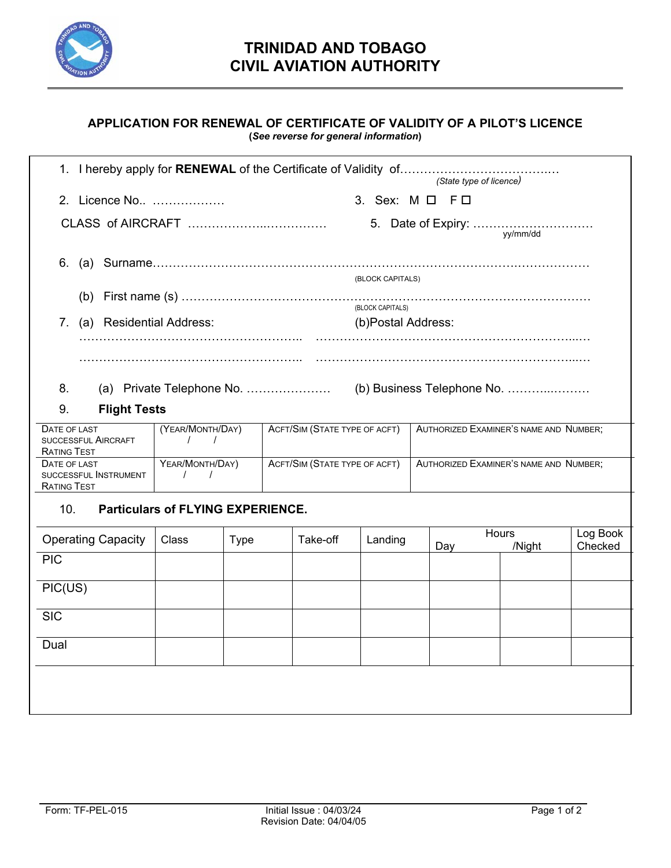

## **APPLICATION FOR RENEWAL OF CERTIFICATE OF VALIDITY OF A PILOT'S LICENCE (***See reverse for general information***)**

|                                                             |                                             |             |                               |          |                                        | (State type of licence) |                 |                     |  |
|-------------------------------------------------------------|---------------------------------------------|-------------|-------------------------------|----------|----------------------------------------|-------------------------|-----------------|---------------------|--|
| 2. Licence No                                               |                                             |             |                               |          | 3. Sex: M O F O                        |                         |                 |                     |  |
|                                                             |                                             |             |                               |          |                                        |                         |                 |                     |  |
| 6.                                                          |                                             |             |                               |          | (BLOCK CAPITALS)                       |                         |                 |                     |  |
|                                                             |                                             |             |                               |          |                                        |                         |                 |                     |  |
| 7. (a) Residential Address:                                 |                                             |             |                               |          | (BLOCK CAPITALS)<br>(b)Postal Address: |                         |                 |                     |  |
|                                                             |                                             |             |                               |          |                                        |                         |                 |                     |  |
|                                                             |                                             |             |                               |          |                                        |                         |                 |                     |  |
| 8.<br>9.<br><b>Flight Tests</b>                             |                                             |             |                               |          |                                        |                         |                 |                     |  |
| DATE OF LAST                                                |                                             |             |                               |          |                                        |                         |                 |                     |  |
| <b>SUCCESSFUL AIRCRAFT</b><br><b>RATING TEST</b>            | (YEAR/MONTH/DAY)<br>$\sqrt{1}$              |             | ACFT/SIM (STATE TYPE OF ACFT) |          | AUTHORIZED EXAMINER'S NAME AND NUMBER; |                         |                 |                     |  |
| DATE OF LAST<br>SUCCESSFUL INSTRUMENT<br><b>RATING TEST</b> | YEAR/MONTH/DAY)<br>$\sqrt{2}$<br>$\sqrt{ }$ |             | ACFT/SIM (STATE TYPE OF ACFT) |          | AUTHORIZED EXAMINER'S NAME AND NUMBER; |                         |                 |                     |  |
| 10.                                                         | <b>Particulars of FLYING EXPERIENCE.</b>    |             |                               |          |                                        |                         |                 |                     |  |
| <b>Operating Capacity</b>                                   | <b>Class</b>                                | <b>Type</b> |                               | Take-off | Landing                                | Day                     | Hours<br>/Night | Log Book<br>Checked |  |
| <b>PIC</b>                                                  |                                             |             |                               |          |                                        |                         |                 |                     |  |
| PIC(US)                                                     |                                             |             |                               |          |                                        |                         |                 |                     |  |
| <b>SIC</b>                                                  |                                             |             |                               |          |                                        |                         |                 |                     |  |
| Dual                                                        |                                             |             |                               |          |                                        |                         |                 |                     |  |
|                                                             |                                             |             |                               |          |                                        |                         |                 |                     |  |

 $\mathbb{R}$